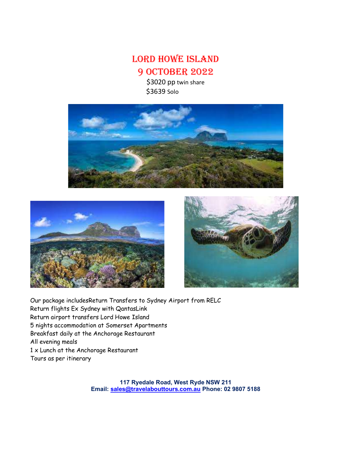LORD HOWE ISLAND 9 OctObeR 2022

> \$3020 pp twin share \$3639 Solo







Our package includesReturn Transfers to Sydney Airport from RELC Return flights Ex Sydney with QantasLink Return airport transfers Lord Howe Island 5 nights accommodation at Somerset Apartments Breakfast daily at the Anchorage Restaurant All evening meals 1 x Lunch at the Anchorage Restaurant Tours as per itinerary

> 117 Ryedale Road, West Ryde NSW 211 Email: sales@travelabouttours.com.au Phone: 02 9807 5188